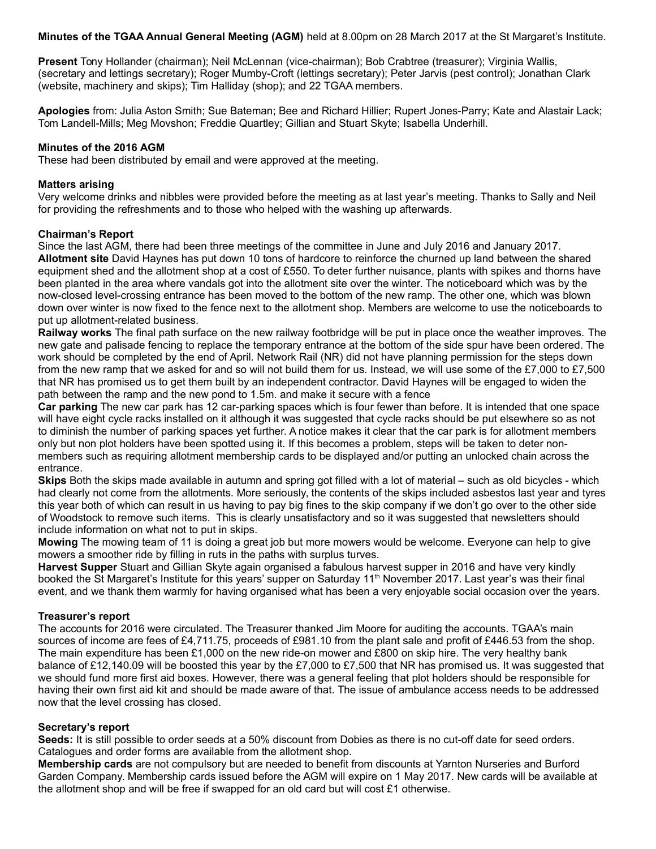**Minutes of the TGAA Annual General Meeting (AGM)** held at 8.00pm on 28 March 2017 at the St Margaret's Institute.

**Present** Tony Hollander (chairman); Neil McLennan (vice-chairman); Bob Crabtree (treasurer); Virginia Wallis, (secretary and lettings secretary); Roger Mumby-Croft (lettings secretary); Peter Jarvis (pest control); Jonathan Clark (website, machinery and skips); Tim Halliday (shop); and 22 TGAA members.

**Apologies** from: Julia Aston Smith; Sue Bateman; Bee and Richard Hillier; Rupert Jones-Parry; Kate and Alastair Lack; Tom Landell-Mills; Meg Movshon; Freddie Quartley; Gillian and Stuart Skyte; Isabella Underhill.

## **Minutes of the 2016 AGM**

These had been distributed by email and were approved at the meeting.

#### **Matters arising**

Very welcome drinks and nibbles were provided before the meeting as at last year's meeting. Thanks to Sally and Neil for providing the refreshments and to those who helped with the washing up afterwards.

#### **Chairman's Report**

Since the last AGM, there had been three meetings of the committee in June and July 2016 and January 2017. **Allotment site** David Haynes has put down 10 tons of hardcore to reinforce the churned up land between the shared equipment shed and the allotment shop at a cost of £550. To deter further nuisance, plants with spikes and thorns have been planted in the area where vandals got into the allotment site over the winter. The noticeboard which was by the now-closed level-crossing entrance has been moved to the bottom of the new ramp. The other one, which was blown down over winter is now fixed to the fence next to the allotment shop. Members are welcome to use the noticeboards to put up allotment-related business.

**Railway works** The final path surface on the new railway footbridge will be put in place once the weather improves. The new gate and palisade fencing to replace the temporary entrance at the bottom of the side spur have been ordered. The work should be completed by the end of April. Network Rail (NR) did not have planning permission for the steps down from the new ramp that we asked for and so will not build them for us. Instead, we will use some of the £7,000 to £7,500 that NR has promised us to get them built by an independent contractor. David Haynes will be engaged to widen the path between the ramp and the new pond to 1.5m. and make it secure with a fence

**Car parking** The new car park has 12 car-parking spaces which is four fewer than before. It is intended that one space will have eight cycle racks installed on it although it was suggested that cycle racks should be put elsewhere so as not to diminish the number of parking spaces yet further. A notice makes it clear that the car park is for allotment members only but non plot holders have been spotted using it. If this becomes a problem, steps will be taken to deter nonmembers such as requiring allotment membership cards to be displayed and/or putting an unlocked chain across the entrance.

**Skips** Both the skips made available in autumn and spring got filled with a lot of material – such as old bicycles - which had clearly not come from the allotments. More seriously, the contents of the skips included asbestos last year and tyres this year both of which can result in us having to pay big fines to the skip company if we don't go over to the other side of Woodstock to remove such items. This is clearly unsatisfactory and so it was suggested that newsletters should include information on what not to put in skips.

**Mowing** The mowing team of 11 is doing a great job but more mowers would be welcome. Everyone can help to give mowers a smoother ride by filling in ruts in the paths with surplus turves.

**Harvest Supper** Stuart and Gillian Skyte again organised a fabulous harvest supper in 2016 and have very kindly booked the St Margaret's Institute for this years' supper on Saturday 11<sup>th</sup> November 2017. Last year's was their final event, and we thank them warmly for having organised what has been a very enjoyable social occasion over the years.

## **Treasurer's report**

The accounts for 2016 were circulated. The Treasurer thanked Jim Moore for auditing the accounts. TGAA's main sources of income are fees of £4,711.75, proceeds of £981.10 from the plant sale and profit of £446.53 from the shop. The main expenditure has been £1,000 on the new ride-on mower and £800 on skip hire. The very healthy bank balance of £12,140.09 will be boosted this year by the £7,000 to £7,500 that NR has promised us. It was suggested that we should fund more first aid boxes. However, there was a general feeling that plot holders should be responsible for having their own first aid kit and should be made aware of that. The issue of ambulance access needs to be addressed now that the level crossing has closed.

#### **Secretary's report**

**Seeds:** It is still possible to order seeds at a 50% discount from Dobies as there is no cut-off date for seed orders. Catalogues and order forms are available from the allotment shop.

**Membership cards** are not compulsory but are needed to benefit from discounts at Yarnton Nurseries and Burford Garden Company. Membership cards issued before the AGM will expire on 1 May 2017. New cards will be available at the allotment shop and will be free if swapped for an old card but will cost £1 otherwise.